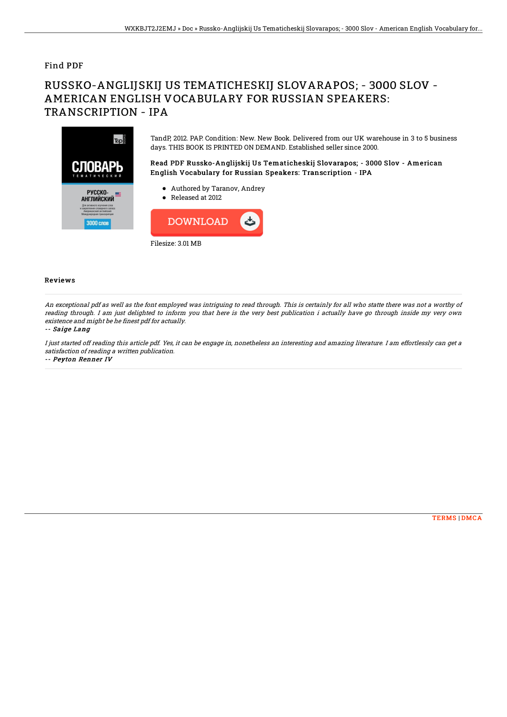### Find PDF

# RUSSKO-ANGLIJSKIJ US TEMATICHESKIJ SLOVARAPOS; - 3000 SLOV - AMERICAN ENGLISH VOCABULARY FOR RUSSIAN SPEAKERS: TRANSCRIPTION - IPA



TandP, 2012. PAP. Condition: New. New Book. Delivered from our UK warehouse in 3 to 5 business days. THIS BOOK IS PRINTED ON DEMAND. Established seller since 2000.

Read PDF Russko-Anglijskij Us Tematicheskij Slovarapos; - 3000 Slov - American English Vocabulary for Russian Speakers: Transcription - IPA

- Authored by Taranov, Andrey
- Released at 2012



#### Reviews

An exceptional pdf as well as the font employed was intriguing to read through. This is certainly for all who statte there was not <sup>a</sup> worthy of reading through. I am just delighted to inform you that here is the very best publication i actually have go through inside my very own existence and might be he finest pdf for actually.

#### -- Saige Lang

I just started off reading this article pdf. Yes, it can be engage in, nonetheless an interesting and amazing literature. I am effortlessly can get <sup>a</sup> satisfaction of reading <sup>a</sup> written publication.

-- Peyton Renner IV